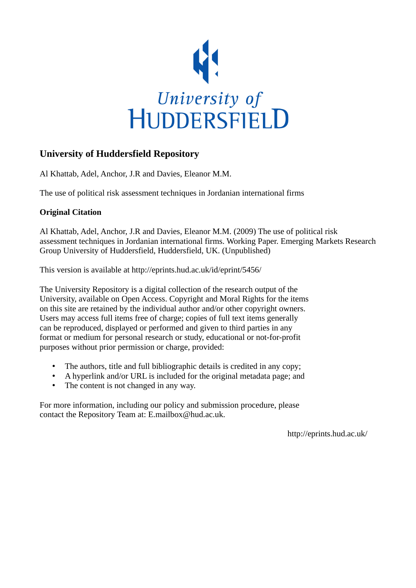

# **University of Huddersfield Repository**

Al Khattab, Adel, Anchor, J.R and Davies, Eleanor M.M.

The use of political risk assessment techniques in Jordanian international firms

## **Original Citation**

Al Khattab, Adel, Anchor, J.R and Davies, Eleanor M.M. (2009) The use of political risk assessment techniques in Jordanian international firms. Working Paper. Emerging Markets Research Group University of Huddersfield, Huddersfield, UK. (Unpublished)

This version is available at http://eprints.hud.ac.uk/id/eprint/5456/

The University Repository is a digital collection of the research output of the University, available on Open Access. Copyright and Moral Rights for the items on this site are retained by the individual author and/or other copyright owners. Users may access full items free of charge; copies of full text items generally can be reproduced, displayed or performed and given to third parties in any format or medium for personal research or study, educational or not-for-profit purposes without prior permission or charge, provided:

- The authors, title and full bibliographic details is credited in any copy;
- A hyperlink and/or URL is included for the original metadata page; and
- The content is not changed in any way.

For more information, including our policy and submission procedure, please contact the Repository Team at: E.mailbox@hud.ac.uk.

http://eprints.hud.ac.uk/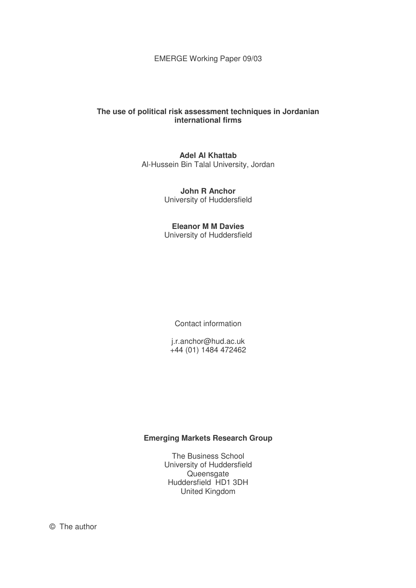EMERGE Working Paper 09/03

## **The use of political risk assessment techniques in Jordanian international firms**

**Adel Al Khattab**  Al-Hussein Bin Talal University, Jordan

> **John R Anchor**  University of Huddersfield

> **Eleanor M M Davies**  University of Huddersfield

> > Contact information

j.r.anchor@hud.ac.uk +44 (01) 1484 472462

## **Emerging Markets Research Group**

The Business School University of Huddersfield Queensgate Huddersfield HD1 3DH United Kingdom

© The author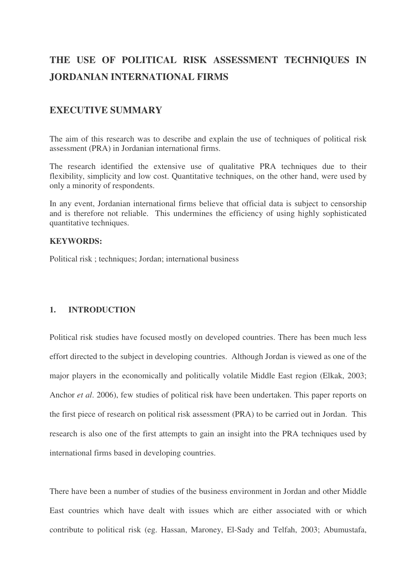# **THE USE OF POLITICAL RISK ASSESSMENT TECHNIQUES IN JORDANIAN INTERNATIONAL FIRMS**

## **EXECUTIVE SUMMARY**

The aim of this research was to describe and explain the use of techniques of political risk assessment (PRA) in Jordanian international firms.

The research identified the extensive use of qualitative PRA techniques due to their flexibility, simplicity and low cost. Quantitative techniques, on the other hand, were used by only a minority of respondents.

In any event, Jordanian international firms believe that official data is subject to censorship and is therefore not reliable. This undermines the efficiency of using highly sophisticated quantitative techniques.

## **KEYWORDS:**

Political risk ; techniques; Jordan; international business

## **1. INTRODUCTION**

Political risk studies have focused mostly on developed countries. There has been much less effort directed to the subject in developing countries. Although Jordan is viewed as one of the major players in the economically and politically volatile Middle East region (Elkak, 2003; Anchor *et al*. 2006), few studies of political risk have been undertaken. This paper reports on the first piece of research on political risk assessment (PRA) to be carried out in Jordan. This research is also one of the first attempts to gain an insight into the PRA techniques used by international firms based in developing countries.

There have been a number of studies of the business environment in Jordan and other Middle East countries which have dealt with issues which are either associated with or which contribute to political risk (eg. Hassan, Maroney, El-Sady and Telfah, 2003; Abumustafa,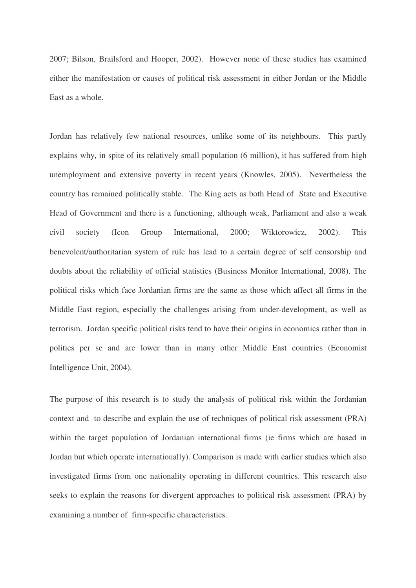2007; Bilson, Brailsford and Hooper, 2002). However none of these studies has examined either the manifestation or causes of political risk assessment in either Jordan or the Middle East as a whole.

Jordan has relatively few national resources, unlike some of its neighbours. This partly explains why, in spite of its relatively small population (6 million), it has suffered from high unemployment and extensive poverty in recent years (Knowles, 2005). Nevertheless the country has remained politically stable. The King acts as both Head of State and Executive Head of Government and there is a functioning, although weak, Parliament and also a weak civil society (Icon Group International, 2000; Wiktorowicz, 2002). This benevolent/authoritarian system of rule has lead to a certain degree of self censorship and doubts about the reliability of official statistics (Business Monitor International, 2008). The political risks which face Jordanian firms are the same as those which affect all firms in the Middle East region, especially the challenges arising from under-development, as well as terrorism. Jordan specific political risks tend to have their origins in economics rather than in politics per se and are lower than in many other Middle East countries (Economist Intelligence Unit, 2004).

The purpose of this research is to study the analysis of political risk within the Jordanian context and to describe and explain the use of techniques of political risk assessment (PRA) within the target population of Jordanian international firms (ie firms which are based in Jordan but which operate internationally). Comparison is made with earlier studies which also investigated firms from one nationality operating in different countries. This research also seeks to explain the reasons for divergent approaches to political risk assessment (PRA) by examining a number of firm-specific characteristics.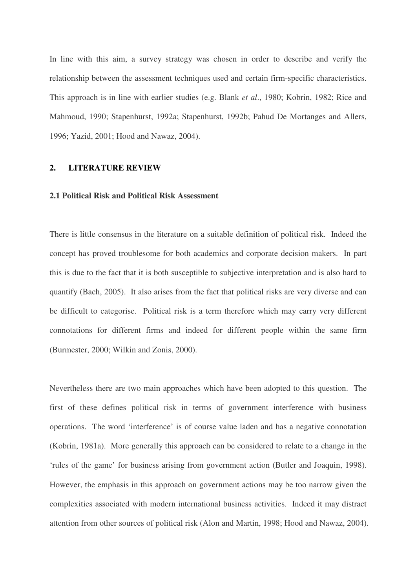In line with this aim, a survey strategy was chosen in order to describe and verify the relationship between the assessment techniques used and certain firm-specific characteristics. This approach is in line with earlier studies (e.g. Blank *et al*., 1980; Kobrin, 1982; Rice and Mahmoud, 1990; Stapenhurst, 1992a; Stapenhurst, 1992b; Pahud De Mortanges and Allers, 1996; Yazid, 2001; Hood and Nawaz, 2004).

## **2. LITERATURE REVIEW**

#### **2.1 Political Risk and Political Risk Assessment**

There is little consensus in the literature on a suitable definition of political risk. Indeed the concept has proved troublesome for both academics and corporate decision makers. In part this is due to the fact that it is both susceptible to subjective interpretation and is also hard to quantify (Bach, 2005). It also arises from the fact that political risks are very diverse and can be difficult to categorise. Political risk is a term therefore which may carry very different connotations for different firms and indeed for different people within the same firm (Burmester, 2000; Wilkin and Zonis, 2000).

Nevertheless there are two main approaches which have been adopted to this question. The first of these defines political risk in terms of government interference with business operations. The word 'interference' is of course value laden and has a negative connotation (Kobrin, 1981a). More generally this approach can be considered to relate to a change in the 'rules of the game' for business arising from government action (Butler and Joaquin, 1998). However, the emphasis in this approach on government actions may be too narrow given the complexities associated with modern international business activities. Indeed it may distract attention from other sources of political risk (Alon and Martin, 1998; Hood and Nawaz, 2004).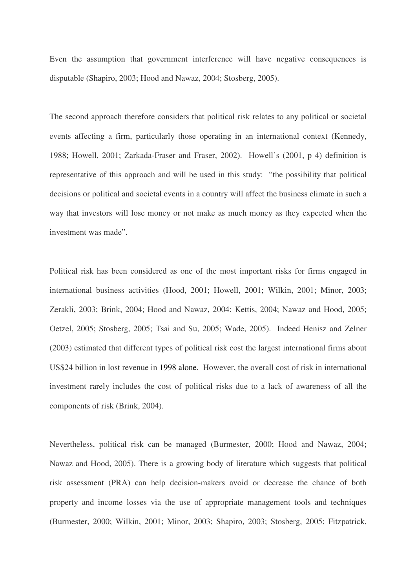Even the assumption that government interference will have negative consequences is disputable (Shapiro, 2003; Hood and Nawaz, 2004; Stosberg, 2005).

The second approach therefore considers that political risk relates to any political or societal events affecting a firm, particularly those operating in an international context (Kennedy, 1988; Howell, 2001; Zarkada-Fraser and Fraser, 2002). Howell's (2001, p 4) definition is representative of this approach and will be used in this study: "the possibility that political decisions or political and societal events in a country will affect the business climate in such a way that investors will lose money or not make as much money as they expected when the investment was made".

Political risk has been considered as one of the most important risks for firms engaged in international business activities (Hood, 2001; Howell, 2001; Wilkin, 2001; Minor, 2003; Zerakli, 2003; Brink, 2004; Hood and Nawaz, 2004; Kettis, 2004; Nawaz and Hood, 2005; Oetzel, 2005; Stosberg, 2005; Tsai and Su, 2005; Wade, 2005). Indeed Henisz and Zelner (2003) estimated that different types of political risk cost the largest international firms about US\$24 billion in lost revenue in 1998 alone. However, the overall cost of risk in international investment rarely includes the cost of political risks due to a lack of awareness of all the components of risk (Brink, 2004).

Nevertheless, political risk can be managed (Burmester, 2000; Hood and Nawaz, 2004; Nawaz and Hood, 2005). There is a growing body of literature which suggests that political risk assessment (PRA) can help decision-makers avoid or decrease the chance of both property and income losses via the use of appropriate management tools and techniques (Burmester, 2000; Wilkin, 2001; Minor, 2003; Shapiro, 2003; Stosberg, 2005; Fitzpatrick,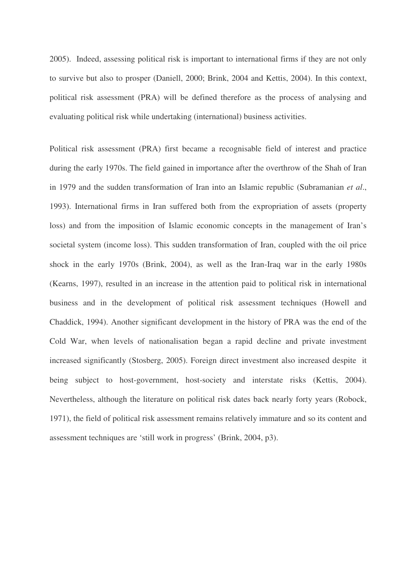2005). Indeed, assessing political risk is important to international firms if they are not only to survive but also to prosper (Daniell, 2000; Brink, 2004 and Kettis, 2004). In this context, political risk assessment (PRA) will be defined therefore as the process of analysing and evaluating political risk while undertaking (international) business activities.

Political risk assessment (PRA) first became a recognisable field of interest and practice during the early 1970s. The field gained in importance after the overthrow of the Shah of Iran in 1979 and the sudden transformation of Iran into an Islamic republic (Subramanian *et al*., 1993). International firms in Iran suffered both from the expropriation of assets (property loss) and from the imposition of Islamic economic concepts in the management of Iran's societal system (income loss). This sudden transformation of Iran, coupled with the oil price shock in the early 1970s (Brink, 2004), as well as the Iran-Iraq war in the early 1980s (Kearns, 1997), resulted in an increase in the attention paid to political risk in international business and in the development of political risk assessment techniques (Howell and Chaddick, 1994). Another significant development in the history of PRA was the end of the Cold War, when levels of nationalisation began a rapid decline and private investment increased significantly (Stosberg, 2005). Foreign direct investment also increased despite it being subject to host-government, host-society and interstate risks (Kettis, 2004). Nevertheless, although the literature on political risk dates back nearly forty years (Robock, 1971), the field of political risk assessment remains relatively immature and so its content and assessment techniques are 'still work in progress' (Brink, 2004, p3).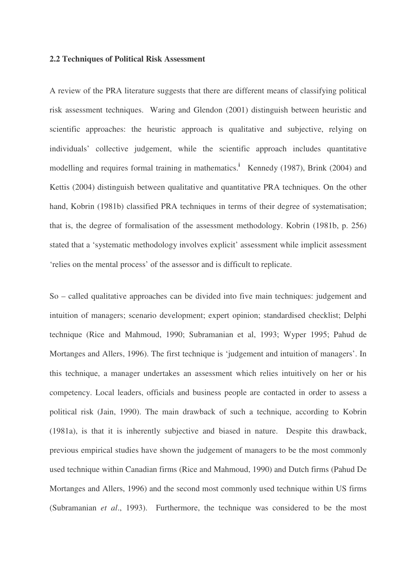#### **2.2 Techniques of Political Risk Assessment**

A review of the PRA literature suggests that there are different means of classifying political risk assessment techniques. Waring and Glendon (2001) distinguish between heuristic and scientific approaches: the heuristic approach is qualitative and subjective, relying on individuals' collective judgement, while the scientific approach includes quantitative modelling and requires formal training in mathematics.<sup>i</sup> Kennedy (1987), Brink (2004) and Kettis (2004) distinguish between qualitative and quantitative PRA techniques. On the other hand, Kobrin (1981b) classified PRA techniques in terms of their degree of systematisation; that is, the degree of formalisation of the assessment methodology. Kobrin (1981b, p. 256) stated that a 'systematic methodology involves explicit' assessment while implicit assessment 'relies on the mental process' of the assessor and is difficult to replicate.

So – called qualitative approaches can be divided into five main techniques: judgement and intuition of managers; scenario development; expert opinion; standardised checklist; Delphi technique (Rice and Mahmoud, 1990; Subramanian et al, 1993; Wyper 1995; Pahud de Mortanges and Allers, 1996). The first technique is 'judgement and intuition of managers'. In this technique, a manager undertakes an assessment which relies intuitively on her or his competency. Local leaders, officials and business people are contacted in order to assess a political risk (Jain, 1990). The main drawback of such a technique, according to Kobrin (1981a), is that it is inherently subjective and biased in nature. Despite this drawback, previous empirical studies have shown the judgement of managers to be the most commonly used technique within Canadian firms (Rice and Mahmoud, 1990) and Dutch firms (Pahud De Mortanges and Allers, 1996) and the second most commonly used technique within US firms (Subramanian *et al*., 1993). Furthermore, the technique was considered to be the most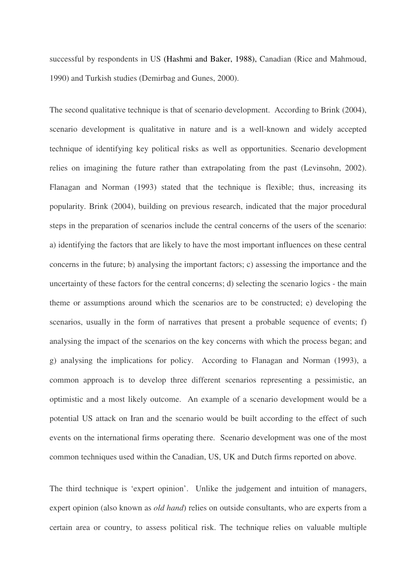successful by respondents in US (Hashmi and Baker, 1988), Canadian (Rice and Mahmoud, 1990) and Turkish studies (Demirbag and Gunes, 2000).

The second qualitative technique is that of scenario development. According to Brink (2004), scenario development is qualitative in nature and is a well-known and widely accepted technique of identifying key political risks as well as opportunities. Scenario development relies on imagining the future rather than extrapolating from the past (Levinsohn, 2002). Flanagan and Norman (1993) stated that the technique is flexible; thus, increasing its popularity. Brink (2004), building on previous research, indicated that the major procedural steps in the preparation of scenarios include the central concerns of the users of the scenario: a) identifying the factors that are likely to have the most important influences on these central concerns in the future; b) analysing the important factors; c) assessing the importance and the uncertainty of these factors for the central concerns; d) selecting the scenario logics - the main theme or assumptions around which the scenarios are to be constructed; e) developing the scenarios, usually in the form of narratives that present a probable sequence of events; f) analysing the impact of the scenarios on the key concerns with which the process began; and g) analysing the implications for policy. According to Flanagan and Norman (1993), a common approach is to develop three different scenarios representing a pessimistic, an optimistic and a most likely outcome. An example of a scenario development would be a potential US attack on Iran and the scenario would be built according to the effect of such events on the international firms operating there. Scenario development was one of the most common techniques used within the Canadian, US, UK and Dutch firms reported on above.

The third technique is 'expert opinion'. Unlike the judgement and intuition of managers, expert opinion (also known as *old hand*) relies on outside consultants, who are experts from a certain area or country, to assess political risk. The technique relies on valuable multiple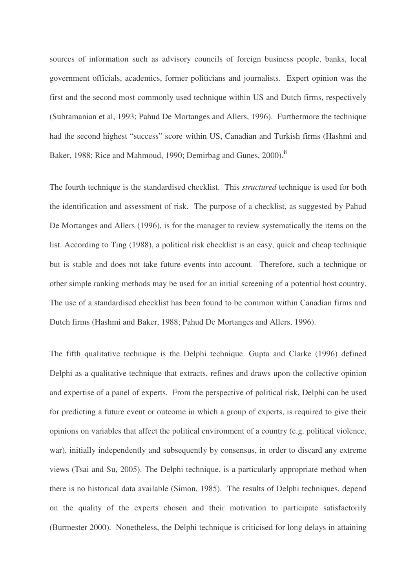sources of information such as advisory councils of foreign business people, banks, local government officials, academics, former politicians and journalists. Expert opinion was the first and the second most commonly used technique within US and Dutch firms, respectively (Subramanian et al, 1993; Pahud De Mortanges and Allers, 1996). Furthermore the technique had the second highest "success" score within US, Canadian and Turkish firms (Hashmi and Baker, 1988; Rice and Mahmoud, 1990; Demirbag and Gunes, 2000).**ii**

The fourth technique is the standardised checklist. This *structured* technique is used for both the identification and assessment of risk. The purpose of a checklist, as suggested by Pahud De Mortanges and Allers (1996), is for the manager to review systematically the items on the list. According to Ting (1988), a political risk checklist is an easy, quick and cheap technique but is stable and does not take future events into account. Therefore, such a technique or other simple ranking methods may be used for an initial screening of a potential host country. The use of a standardised checklist has been found to be common within Canadian firms and Dutch firms (Hashmi and Baker, 1988; Pahud De Mortanges and Allers, 1996).

The fifth qualitative technique is the Delphi technique. Gupta and Clarke (1996) defined Delphi as a qualitative technique that extracts, refines and draws upon the collective opinion and expertise of a panel of experts. From the perspective of political risk, Delphi can be used for predicting a future event or outcome in which a group of experts, is required to give their opinions on variables that affect the political environment of a country (e.g. political violence, war), initially independently and subsequently by consensus, in order to discard any extreme views (Tsai and Su, 2005). The Delphi technique, is a particularly appropriate method when there is no historical data available (Simon, 1985). The results of Delphi techniques, depend on the quality of the experts chosen and their motivation to participate satisfactorily (Burmester 2000). Nonetheless, the Delphi technique is criticised for long delays in attaining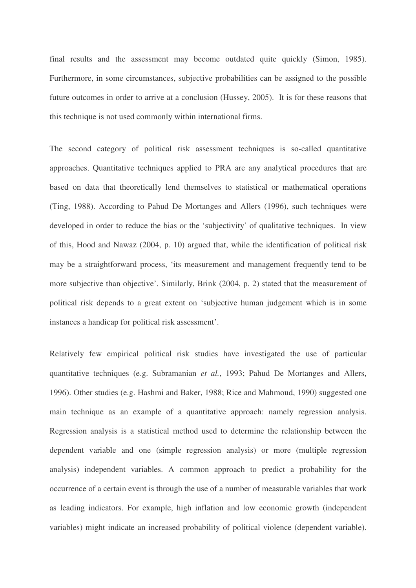final results and the assessment may become outdated quite quickly (Simon, 1985). Furthermore, in some circumstances, subjective probabilities can be assigned to the possible future outcomes in order to arrive at a conclusion (Hussey, 2005). It is for these reasons that this technique is not used commonly within international firms.

The second category of political risk assessment techniques is so-called quantitative approaches. Quantitative techniques applied to PRA are any analytical procedures that are based on data that theoretically lend themselves to statistical or mathematical operations (Ting, 1988). According to Pahud De Mortanges and Allers (1996), such techniques were developed in order to reduce the bias or the 'subjectivity' of qualitative techniques. In view of this, Hood and Nawaz (2004, p. 10) argued that, while the identification of political risk may be a straightforward process, 'its measurement and management frequently tend to be more subjective than objective'. Similarly, Brink (2004, p. 2) stated that the measurement of political risk depends to a great extent on 'subjective human judgement which is in some instances a handicap for political risk assessment'.

Relatively few empirical political risk studies have investigated the use of particular quantitative techniques (e.g. Subramanian *et al.*, 1993; Pahud De Mortanges and Allers, 1996). Other studies (e.g. Hashmi and Baker, 1988; Rice and Mahmoud, 1990) suggested one main technique as an example of a quantitative approach: namely regression analysis. Regression analysis is a statistical method used to determine the relationship between the dependent variable and one (simple regression analysis) or more (multiple regression analysis) independent variables. A common approach to predict a probability for the occurrence of a certain event is through the use of a number of measurable variables that work as leading indicators. For example, high inflation and low economic growth (independent variables) might indicate an increased probability of political violence (dependent variable).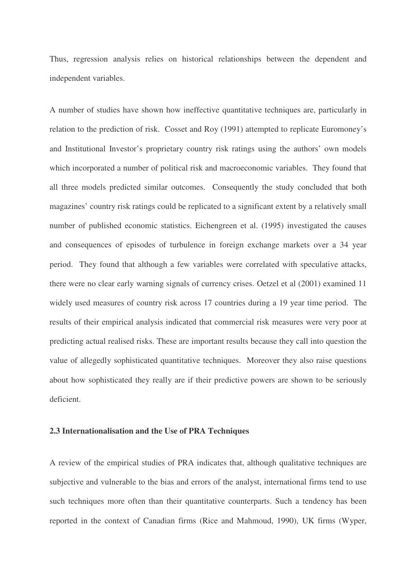Thus, regression analysis relies on historical relationships between the dependent and independent variables.

A number of studies have shown how ineffective quantitative techniques are, particularly in relation to the prediction of risk. Cosset and Roy (1991) attempted to replicate Euromoney's and Institutional Investor's proprietary country risk ratings using the authors' own models which incorporated a number of political risk and macroeconomic variables. They found that all three models predicted similar outcomes. Consequently the study concluded that both magazines' country risk ratings could be replicated to a significant extent by a relatively small number of published economic statistics. Eichengreen et al. (1995) investigated the causes and consequences of episodes of turbulence in foreign exchange markets over a 34 year period. They found that although a few variables were correlated with speculative attacks, there were no clear early warning signals of currency crises. Oetzel et al (2001) examined 11 widely used measures of country risk across 17 countries during a 19 year time period. The results of their empirical analysis indicated that commercial risk measures were very poor at predicting actual realised risks. These are important results because they call into question the value of allegedly sophisticated quantitative techniques. Moreover they also raise questions about how sophisticated they really are if their predictive powers are shown to be seriously deficient.

#### **2.3 Internationalisation and the Use of PRA Techniques**

A review of the empirical studies of PRA indicates that, although qualitative techniques are subjective and vulnerable to the bias and errors of the analyst, international firms tend to use such techniques more often than their quantitative counterparts. Such a tendency has been reported in the context of Canadian firms (Rice and Mahmoud, 1990), UK firms (Wyper,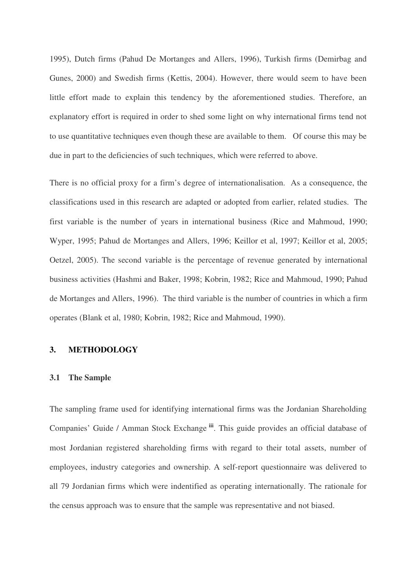1995), Dutch firms (Pahud De Mortanges and Allers, 1996), Turkish firms (Demirbag and Gunes, 2000) and Swedish firms (Kettis, 2004). However, there would seem to have been little effort made to explain this tendency by the aforementioned studies. Therefore, an explanatory effort is required in order to shed some light on why international firms tend not to use quantitative techniques even though these are available to them. Of course this may be due in part to the deficiencies of such techniques, which were referred to above.

There is no official proxy for a firm's degree of internationalisation. As a consequence, the classifications used in this research are adapted or adopted from earlier, related studies. The first variable is the number of years in international business (Rice and Mahmoud, 1990; Wyper, 1995; Pahud de Mortanges and Allers, 1996; Keillor et al, 1997; Keillor et al, 2005; Oetzel, 2005). The second variable is the percentage of revenue generated by international business activities (Hashmi and Baker, 1998; Kobrin, 1982; Rice and Mahmoud, 1990; Pahud de Mortanges and Allers, 1996). The third variable is the number of countries in which a firm operates (Blank et al, 1980; Kobrin, 1982; Rice and Mahmoud, 1990).

## **3. METHODOLOGY**

#### **3.1 The Sample**

The sampling frame used for identifying international firms was the Jordanian Shareholding Companies' Guide / Amman Stock Exchange **iii**. This guide provides an official database of most Jordanian registered shareholding firms with regard to their total assets, number of employees, industry categories and ownership. A self-report questionnaire was delivered to all 79 Jordanian firms which were indentified as operating internationally. The rationale for the census approach was to ensure that the sample was representative and not biased.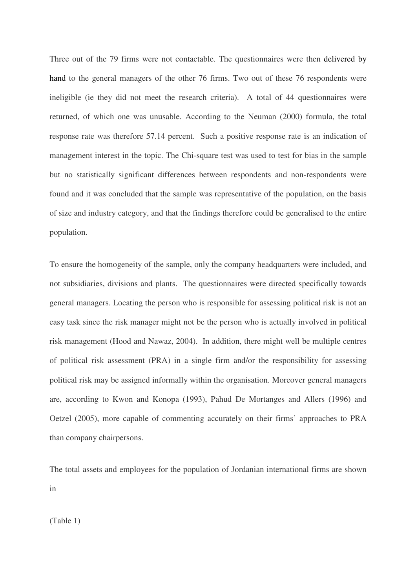Three out of the 79 firms were not contactable. The questionnaires were then delivered by hand to the general managers of the other 76 firms. Two out of these 76 respondents were ineligible (ie they did not meet the research criteria). A total of 44 questionnaires were returned, of which one was unusable. According to the Neuman (2000) formula, the total response rate was therefore 57.14 percent. Such a positive response rate is an indication of management interest in the topic. The Chi-square test was used to test for bias in the sample but no statistically significant differences between respondents and non-respondents were found and it was concluded that the sample was representative of the population, on the basis of size and industry category, and that the findings therefore could be generalised to the entire population.

To ensure the homogeneity of the sample, only the company headquarters were included, and not subsidiaries, divisions and plants. The questionnaires were directed specifically towards general managers. Locating the person who is responsible for assessing political risk is not an easy task since the risk manager might not be the person who is actually involved in political risk management (Hood and Nawaz, 2004). In addition, there might well be multiple centres of political risk assessment (PRA) in a single firm and/or the responsibility for assessing political risk may be assigned informally within the organisation. Moreover general managers are, according to Kwon and Konopa (1993), Pahud De Mortanges and Allers (1996) and Oetzel (2005), more capable of commenting accurately on their firms' approaches to PRA than company chairpersons.

The total assets and employees for the population of Jordanian international firms are shown in

(Table 1)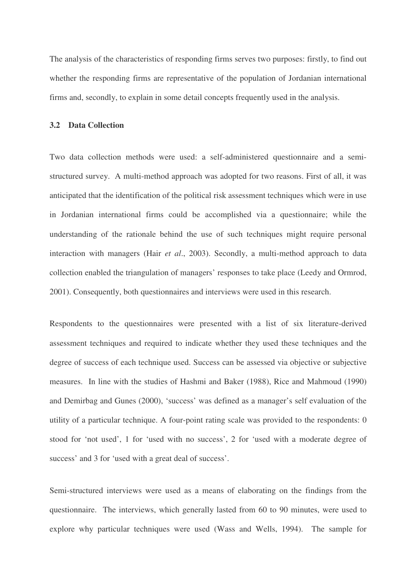The analysis of the characteristics of responding firms serves two purposes: firstly, to find out whether the responding firms are representative of the population of Jordanian international firms and, secondly, to explain in some detail concepts frequently used in the analysis.

#### **3.2 Data Collection**

Two data collection methods were used: a self-administered questionnaire and a semistructured survey. A multi-method approach was adopted for two reasons. First of all, it was anticipated that the identification of the political risk assessment techniques which were in use in Jordanian international firms could be accomplished via a questionnaire; while the understanding of the rationale behind the use of such techniques might require personal interaction with managers (Hair *et al*., 2003). Secondly, a multi-method approach to data collection enabled the triangulation of managers' responses to take place (Leedy and Ormrod, 2001). Consequently, both questionnaires and interviews were used in this research.

Respondents to the questionnaires were presented with a list of six literature-derived assessment techniques and required to indicate whether they used these techniques and the degree of success of each technique used. Success can be assessed via objective or subjective measures. In line with the studies of Hashmi and Baker (1988), Rice and Mahmoud (1990) and Demirbag and Gunes (2000), 'success' was defined as a manager's self evaluation of the utility of a particular technique. A four-point rating scale was provided to the respondents: 0 stood for 'not used', 1 for 'used with no success', 2 for 'used with a moderate degree of success' and 3 for 'used with a great deal of success'.

Semi-structured interviews were used as a means of elaborating on the findings from the questionnaire. The interviews, which generally lasted from 60 to 90 minutes, were used to explore why particular techniques were used (Wass and Wells, 1994). The sample for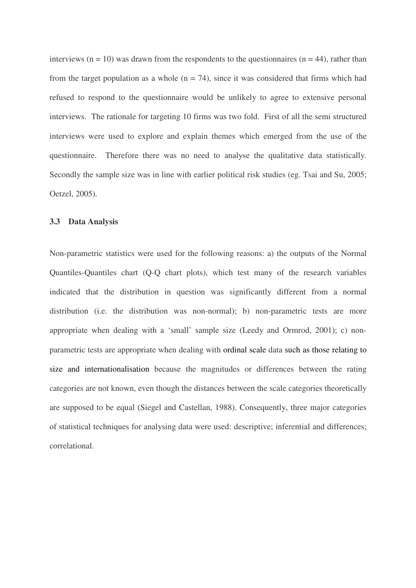interviews ( $n = 10$ ) was drawn from the respondents to the questionnaires ( $n = 44$ ), rather than from the target population as a whole  $(n = 74)$ , since it was considered that firms which had refused to respond to the questionnaire would be unlikely to agree to extensive personal interviews. The rationale for targeting 10 firms was two fold. First of all the semi structured interviews were used to explore and explain themes which emerged from the use of the questionnaire. Therefore there was no need to analyse the qualitative data statistically. Secondly the sample size was in line with earlier political risk studies (eg. Tsai and Su, 2005; Oetzel, 2005).

#### **3.3 Data Analysis**

Non-parametric statistics were used for the following reasons: a) the outputs of the Normal Quantiles-Quantiles chart (Q-Q chart plots), which test many of the research variables indicated that the distribution in question was significantly different from a normal distribution (i.e. the distribution was non-normal); b) non-parametric tests are more appropriate when dealing with a 'small' sample size (Leedy and Ormrod, 2001); c) nonparametric tests are appropriate when dealing with ordinal scale data such as those relating to size and internationalisation because the magnitudes or differences between the rating categories are not known, even though the distances between the scale categories theoretically are supposed to be equal (Siegel and Castellan, 1988). Consequently, three major categories of statistical techniques for analysing data were used: descriptive; inferential and differences; correlational.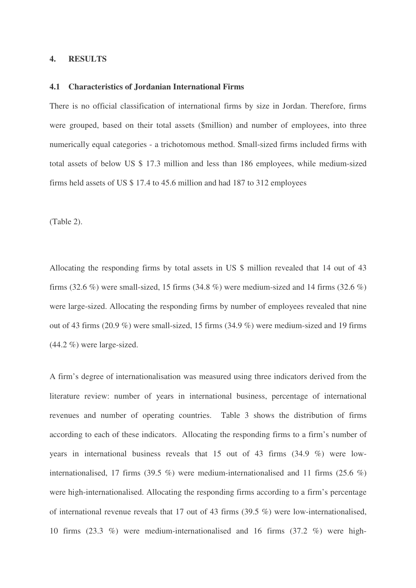#### **4. RESULTS**

#### **4.1 Characteristics of Jordanian International Firms**

There is no official classification of international firms by size in Jordan. Therefore, firms were grouped, based on their total assets (\$million) and number of employees, into three numerically equal categories - a trichotomous method. Small-sized firms included firms with total assets of below US \$ 17.3 million and less than 186 employees, while medium-sized firms held assets of US \$ 17.4 to 45.6 million and had 187 to 312 employees

(Table 2).

Allocating the responding firms by total assets in US \$ million revealed that 14 out of 43 firms (32.6 %) were small-sized, 15 firms (34.8 %) were medium-sized and 14 firms (32.6 %) were large-sized. Allocating the responding firms by number of employees revealed that nine out of 43 firms (20.9 %) were small-sized, 15 firms (34.9 %) were medium-sized and 19 firms (44.2 %) were large-sized.

A firm's degree of internationalisation was measured using three indicators derived from the literature review: number of years in international business, percentage of international revenues and number of operating countries. Table 3 shows the distribution of firms according to each of these indicators. Allocating the responding firms to a firm's number of years in international business reveals that 15 out of 43 firms (34.9 %) were lowinternationalised, 17 firms (39.5 %) were medium-internationalised and 11 firms (25.6 %) were high-internationalised. Allocating the responding firms according to a firm's percentage of international revenue reveals that 17 out of 43 firms (39.5 %) were low-internationalised, 10 firms (23.3 %) were medium-internationalised and 16 firms (37.2 %) were high-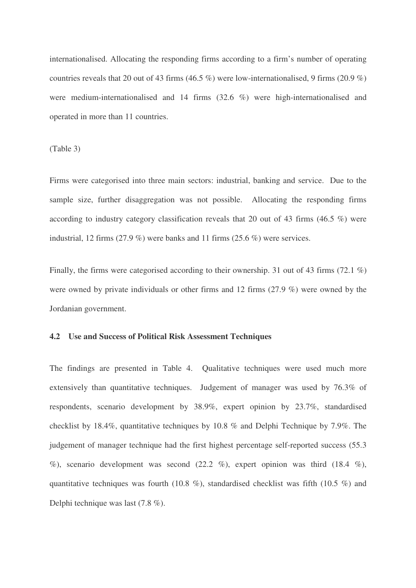internationalised. Allocating the responding firms according to a firm's number of operating countries reveals that 20 out of 43 firms (46.5 %) were low-internationalised, 9 firms (20.9 %) were medium-internationalised and 14 firms (32.6 %) were high-internationalised and operated in more than 11 countries.

(Table 3)

Firms were categorised into three main sectors: industrial, banking and service. Due to the sample size, further disaggregation was not possible. Allocating the responding firms according to industry category classification reveals that 20 out of 43 firms (46.5 %) were industrial, 12 firms (27.9 %) were banks and 11 firms (25.6 %) were services.

Finally, the firms were categorised according to their ownership. 31 out of 43 firms (72.1 %) were owned by private individuals or other firms and 12 firms (27.9 %) were owned by the Jordanian government.

#### **4.2 Use and Success of Political Risk Assessment Techniques**

The findings are presented in Table 4. Qualitative techniques were used much more extensively than quantitative techniques. Judgement of manager was used by 76.3% of respondents, scenario development by 38.9%, expert opinion by 23.7%, standardised checklist by 18.4%, quantitative techniques by 10.8 % and Delphi Technique by 7.9%. The judgement of manager technique had the first highest percentage self-reported success (55.3 %), scenario development was second  $(22.2 \%)$ , expert opinion was third  $(18.4 \%)$ , quantitative techniques was fourth (10.8 %), standardised checklist was fifth (10.5 %) and Delphi technique was last (7.8 %).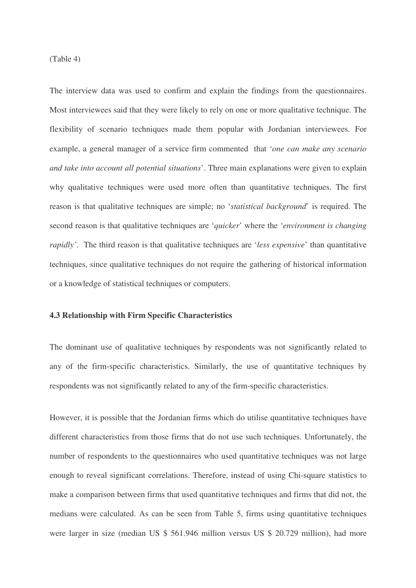(Table 4)

The interview data was used to confirm and explain the findings from the questionnaires. Most interviewees said that they were likely to rely on one or more qualitative technique. The flexibility of scenario techniques made them popular with Jordanian interviewees. For example, a general manager of a service firm commented that '*one can make any scenario and take into account all potential situations*'. Three main explanations were given to explain why qualitative techniques were used more often than quantitative techniques. The first reason is that qualitative techniques are simple; no '*statistical background*' is required. The second reason is that qualitative techniques are '*quicker*' where the '*environment is changing rapidly'.* The third reason is that qualitative techniques are '*less expensive*' than quantitative techniques, since qualitative techniques do not require the gathering of historical information or a knowledge of statistical techniques or computers.

#### **4.3 Relationship with Firm Specific Characteristics**

The dominant use of qualitative techniques by respondents was not significantly related to any of the firm-specific characteristics. Similarly, the use of quantitative techniques by respondents was not significantly related to any of the firm-specific characteristics.

However, it is possible that the Jordanian firms which do utilise quantitative techniques have different characteristics from those firms that do not use such techniques. Unfortunately, the number of respondents to the questionnaires who used quantitative techniques was not large enough to reveal significant correlations. Therefore, instead of using Chi-square statistics to make a comparison between firms that used quantitative techniques and firms that did not, the medians were calculated. As can be seen from Table 5, firms using quantitative techniques were larger in size (median US \$ 561.946 million versus US \$ 20.729 million), had more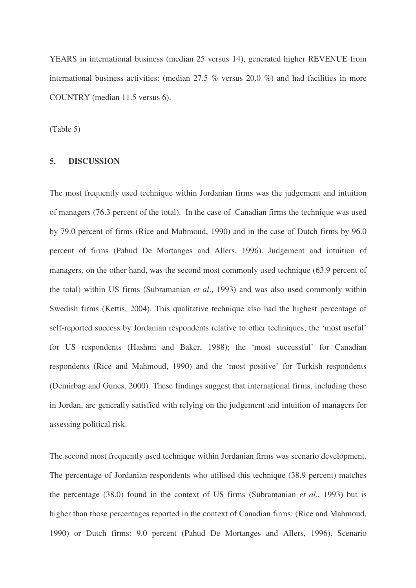YEARS in international business (median 25 versus 14), generated higher REVENUE from international business activities: (median 27.5 % versus 20.0 %) and had facilities in more COUNTRY (median 11.5 versus 6).

(Table 5)

## **5. DISCUSSION**

The most frequently used technique within Jordanian firms was the judgement and intuition of managers (76.3 percent of the total). In the case of Canadian firms the technique was used by 79.0 percent of firms (Rice and Mahmoud, 1990) and in the case of Dutch firms by 96.0 percent of firms (Pahud De Mortanges and Allers, 1996). Judgement and intuition of managers, on the other hand, was the second most commonly used technique (63.9 percent of the total) within US firms (Subramanian *et al*., 1993) and was also used commonly within Swedish firms (Kettis, 2004). This qualitative technique also had the highest percentage of self-reported success by Jordanian respondents relative to other techniques; the 'most useful' for US respondents (Hashmi and Baker, 1988); the 'most successful' for Canadian respondents (Rice and Mahmoud, 1990) and the 'most positive' for Turkish respondents (Demirbag and Gunes, 2000). These findings suggest that international firms, including those in Jordan, are generally satisfied with relying on the judgement and intuition of managers for assessing political risk.

The second most frequently used technique within Jordanian firms was scenario development. The percentage of Jordanian respondents who utilised this technique (38.9 percent) matches the percentage (38.0) found in the context of US firms (Subramanian *et al*., 1993) but is higher than those percentages reported in the context of Canadian firms: (Rice and Mahmoud, 1990) or Dutch firms: 9.0 percent (Pahud De Mortanges and Allers, 1996). Scenario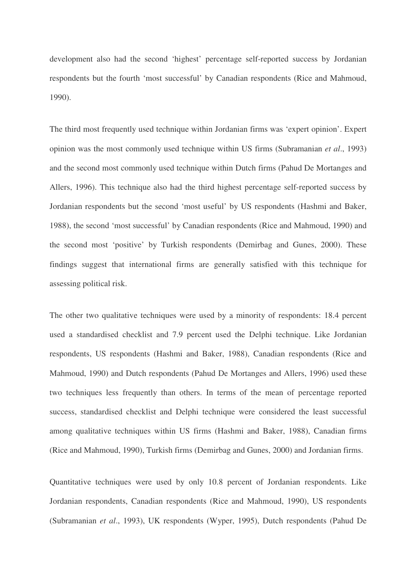development also had the second 'highest' percentage self-reported success by Jordanian respondents but the fourth 'most successful' by Canadian respondents (Rice and Mahmoud, 1990).

The third most frequently used technique within Jordanian firms was 'expert opinion'. Expert opinion was the most commonly used technique within US firms (Subramanian *et al*., 1993) and the second most commonly used technique within Dutch firms (Pahud De Mortanges and Allers, 1996). This technique also had the third highest percentage self-reported success by Jordanian respondents but the second 'most useful' by US respondents (Hashmi and Baker, 1988), the second 'most successful' by Canadian respondents (Rice and Mahmoud, 1990) and the second most 'positive' by Turkish respondents (Demirbag and Gunes, 2000). These findings suggest that international firms are generally satisfied with this technique for assessing political risk.

The other two qualitative techniques were used by a minority of respondents: 18.4 percent used a standardised checklist and 7.9 percent used the Delphi technique. Like Jordanian respondents, US respondents (Hashmi and Baker, 1988), Canadian respondents (Rice and Mahmoud, 1990) and Dutch respondents (Pahud De Mortanges and Allers, 1996) used these two techniques less frequently than others. In terms of the mean of percentage reported success, standardised checklist and Delphi technique were considered the least successful among qualitative techniques within US firms (Hashmi and Baker, 1988), Canadian firms (Rice and Mahmoud, 1990), Turkish firms (Demirbag and Gunes, 2000) and Jordanian firms.

Quantitative techniques were used by only 10.8 percent of Jordanian respondents. Like Jordanian respondents, Canadian respondents (Rice and Mahmoud, 1990), US respondents (Subramanian *et al*., 1993), UK respondents (Wyper, 1995), Dutch respondents (Pahud De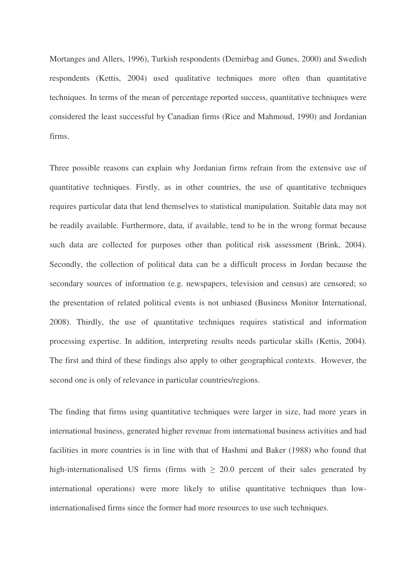Mortanges and Allers, 1996), Turkish respondents (Demirbag and Gunes, 2000) and Swedish respondents (Kettis, 2004) used qualitative techniques more often than quantitative techniques. In terms of the mean of percentage reported success, quantitative techniques were considered the least successful by Canadian firms (Rice and Mahmoud, 1990) and Jordanian firms.

Three possible reasons can explain why Jordanian firms refrain from the extensive use of quantitative techniques. Firstly, as in other countries, the use of quantitative techniques requires particular data that lend themselves to statistical manipulation. Suitable data may not be readily available. Furthermore, data, if available, tend to be in the wrong format because such data are collected for purposes other than political risk assessment (Brink, 2004). Secondly, the collection of political data can be a difficult process in Jordan because the secondary sources of information (e.g. newspapers, television and census) are censored; so the presentation of related political events is not unbiased (Business Monitor International, 2008). Thirdly, the use of quantitative techniques requires statistical and information processing expertise. In addition, interpreting results needs particular skills (Kettis, 2004). The first and third of these findings also apply to other geographical contexts. However, the second one is only of relevance in particular countries/regions.

The finding that firms using quantitative techniques were larger in size, had more years in international business, generated higher revenue from international business activities and had facilities in more countries is in line with that of Hashmi and Baker (1988) who found that high-internationalised US firms (firms with  $\geq 20.0$  percent of their sales generated by international operations) were more likely to utilise quantitative techniques than lowinternationalised firms since the former had more resources to use such techniques.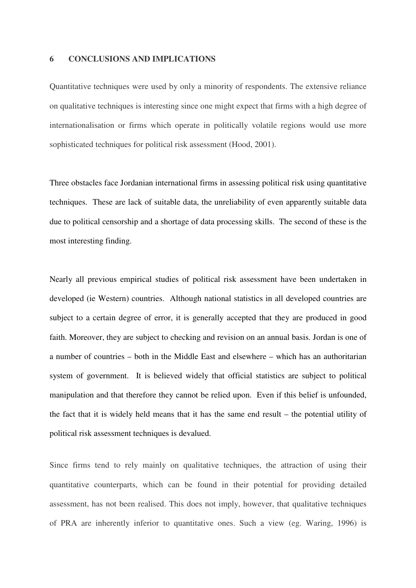### **6 CONCLUSIONS AND IMPLICATIONS**

Quantitative techniques were used by only a minority of respondents. The extensive reliance on qualitative techniques is interesting since one might expect that firms with a high degree of internationalisation or firms which operate in politically volatile regions would use more sophisticated techniques for political risk assessment (Hood, 2001).

Three obstacles face Jordanian international firms in assessing political risk using quantitative techniques. These are lack of suitable data, the unreliability of even apparently suitable data due to political censorship and a shortage of data processing skills. The second of these is the most interesting finding.

Nearly all previous empirical studies of political risk assessment have been undertaken in developed (ie Western) countries. Although national statistics in all developed countries are subject to a certain degree of error, it is generally accepted that they are produced in good faith. Moreover, they are subject to checking and revision on an annual basis. Jordan is one of a number of countries – both in the Middle East and elsewhere – which has an authoritarian system of government. It is believed widely that official statistics are subject to political manipulation and that therefore they cannot be relied upon. Even if this belief is unfounded, the fact that it is widely held means that it has the same end result – the potential utility of political risk assessment techniques is devalued.

Since firms tend to rely mainly on qualitative techniques, the attraction of using their quantitative counterparts, which can be found in their potential for providing detailed assessment, has not been realised. This does not imply, however, that qualitative techniques of PRA are inherently inferior to quantitative ones. Such a view (eg. Waring, 1996) is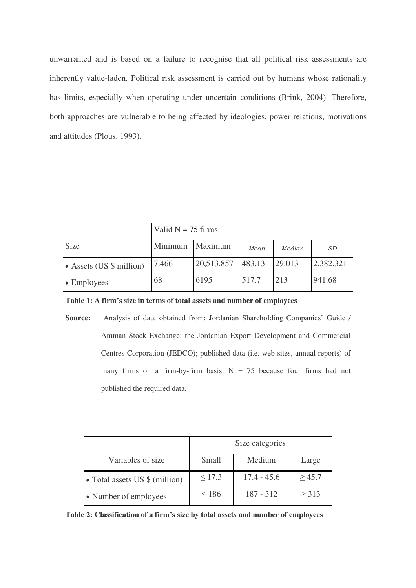unwarranted and is based on a failure to recognise that all political risk assessments are inherently value-laden. Political risk assessment is carried out by humans whose rationality has limits, especially when operating under uncertain conditions (Brink, 2004). Therefore, both approaches are vulnerable to being affected by ideologies, power relations, motivations and attitudes (Plous, 1993).

|                           | Valid $N = 75$ firms |            |        |        |           |
|---------------------------|----------------------|------------|--------|--------|-----------|
| <b>Size</b>               | Minimum              | Maximum    | Mean   | Median | <i>SD</i> |
| • Assets (US $$$ million) | 7.466                | 20,513.857 | 483.13 | 29.013 | 2,382.321 |
| $\bullet$ Employees       | 68                   | 6195       | 517.7  | 213    | 941.68    |

**Table 1: A firm's size in terms of total assets and number of employees** 

**Source:** Analysis of data obtained from: Jordanian Shareholding Companies' Guide / Amman Stock Exchange; the Jordanian Export Development and Commercial Centres Corporation (JEDCO); published data (i.e. web sites, annual reports) of many firms on a firm-by-firm basis.  $N = 75$  because four firms had not published the required data.

|                                | Size categories |               |             |  |  |
|--------------------------------|-----------------|---------------|-------------|--|--|
| Variables of size.             | Small           | Medium        | Large       |  |  |
| • Total assets US \$ (million) | $\leq$ 17.3     | $17.4 - 45.6$ | $\geq 45.7$ |  |  |
| • Number of employees          | $\leq 186$      | $187 - 312$   | $\geq$ 313  |  |  |

**Table 2: Classification of a firm's size by total assets and number of employees**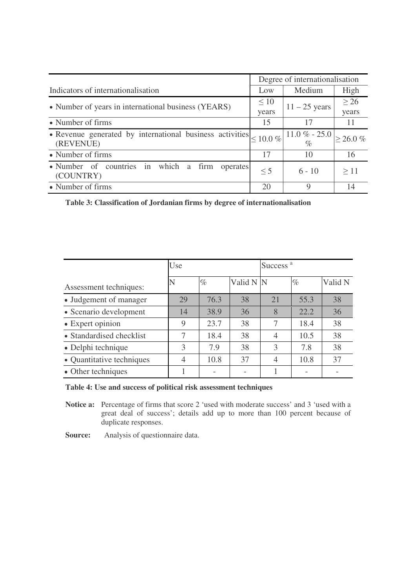|                                                                                     | Degree of internationalisation |                                     |                |  |
|-------------------------------------------------------------------------------------|--------------------------------|-------------------------------------|----------------|--|
| Indicators of internationalisation                                                  | Low                            | Medium                              | High           |  |
| • Number of years in international business (YEARS)                                 | $\leq 10$                      | $11 - 25$ years                     | > 26           |  |
|                                                                                     | years                          |                                     | years          |  |
| • Number of firms                                                                   | 15                             | 17                                  | 11             |  |
| • Revenue generated by international business activities $\leq 10.0\%$<br>(REVENUE) |                                | $11.0 \% - 25.0$<br>$\mathcal{O}_0$ | $\geq 26.0 \%$ |  |
| • Number of firms                                                                   | 17                             | 10                                  | 16             |  |
| • Number of countries in which<br>firm<br>operates<br>a<br>(COUNTRY)                | $\leq$ 5                       | $6 - 10$                            | >11            |  |
| • Number of firms                                                                   | 20                             | Q                                   | 14             |  |

**Table 3: Classification of Jordanian firms by degree of internationalisation** 

|                           | Use |      |           | Success <sup>a</sup> |      |         |
|---------------------------|-----|------|-----------|----------------------|------|---------|
| Assessment techniques:    | N   | $\%$ | Valid N N |                      | $\%$ | Valid N |
| • Judgement of manager    | 29  | 76.3 | 38        | 21                   | 55.3 | 38      |
| • Scenario development    | 14  | 38.9 | 36        | 8                    | 22.2 | 36      |
| • Expert opinion          | 9   | 23.7 | 38        | $\tau$               | 18.4 | 38      |
| • Standardised checklist  | 7   | 18.4 | 38        | $\overline{4}$       | 10.5 | 38      |
| • Delphi technique        | 3   | 7.9  | 38        | 3                    | 7.8  | 38      |
| • Quantitative techniques | 4   | 10.8 | 37        |                      | 10.8 | 37      |
| • Other techniques        |     |      |           |                      |      |         |

## **Table 4: Use and success of political risk assessment techniques**

**Notice a:** Percentage of firms that score 2 'used with moderate success' and 3 'used with a great deal of success'; details add up to more than 100 percent because of duplicate responses.

**Source:** Analysis of questionnaire data.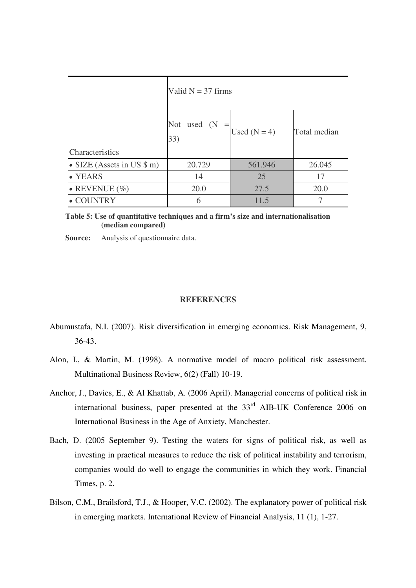|                                      | Valid $N = 37$ firms                           |                |              |  |  |  |
|--------------------------------------|------------------------------------------------|----------------|--------------|--|--|--|
| Characteristics                      | <b>Not</b><br>used<br>(N <sup>2</sup> )<br>33) | Used $(N = 4)$ | Total median |  |  |  |
| • SIZE (Assets in US $\text{\$ m}$ ) | 20.729                                         | 561.946        | 26.045       |  |  |  |
| • YEARS                              | 14                                             | 25             | 17           |  |  |  |
| • REVENUE $(\% )$                    | 20.0                                           | 27.5           | 20.0         |  |  |  |
| $\bullet$ COUNTRY                    | 6                                              | 11.5           |              |  |  |  |

**Table 5: Use of quantitative techniques and a firm's size and internationalisation (median compared)** 

**Source:** Analysis of questionnaire data.

#### **REFERENCES**

- Abumustafa, N.I. (2007). Risk diversification in emerging economics. Risk Management, 9, 36-43.
- Alon, I., & Martin, M. (1998). A normative model of macro political risk assessment. Multinational Business Review, 6(2) (Fall) 10-19.
- Anchor, J., Davies, E., & Al Khattab, A. (2006 April). Managerial concerns of political risk in international business, paper presented at the  $33<sup>rd</sup>$  AIB-UK Conference 2006 on International Business in the Age of Anxiety, Manchester.
- Bach, D. (2005 September 9). Testing the waters for signs of political risk, as well as investing in practical measures to reduce the risk of political instability and terrorism, companies would do well to engage the communities in which they work. Financial Times, p. 2.
- Bilson, C.M., Brailsford, T.J., & Hooper, V.C. (2002). The explanatory power of political risk in emerging markets. International Review of Financial Analysis, 11 (1), 1-27.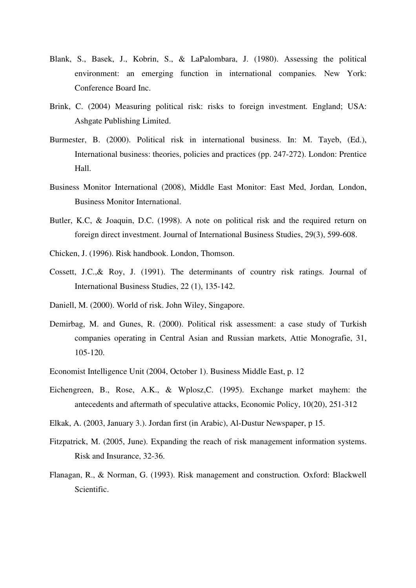- Blank, S., Basek, J., Kobrin, S., & LaPalombara, J. (1980). Assessing the political environment: an emerging function in international companies*.* New York: Conference Board Inc.
- Brink, C. (2004) Measuring political risk: risks to foreign investment*.* England; USA: Ashgate Publishing Limited.
- Burmester, B. (2000). Political risk in international business. In: M. Tayeb, (Ed.), International business: theories, policies and practices (pp. 247-272). London: Prentice Hall.
- Business Monitor International (2008), Middle East Monitor: East Med, Jordan*,* London, Business Monitor International.
- Butler, K.C, & Joaquin, D.C. (1998). A note on political risk and the required return on foreign direct investment. Journal of International Business Studies, 29(3), 599-608.
- Chicken, J. (1996). Risk handbook. London, Thomson.
- Cossett, J.C.,& Roy, J. (1991). The determinants of country risk ratings. Journal of International Business Studies, 22 (1), 135-142.
- Daniell, M. (2000). World of risk. John Wiley, Singapore.
- Demirbag, M. and Gunes, R. (2000). Political risk assessment: a case study of Turkish companies operating in Central Asian and Russian markets, Attie Monografie, 31, 105-120.
- Economist Intelligence Unit (2004, October 1). Business Middle East, p. 12
- Eichengreen, B., Rose, A.K., & Wplosz,C. (1995). Exchange market mayhem: the antecedents and aftermath of speculative attacks, Economic Policy, 10(20), 251-312
- Elkak, A. (2003, January 3.). Jordan first (in Arabic), Al-Dustur Newspaper, p 15.
- Fitzpatrick, M. (2005, June). Expanding the reach of risk management information systems. Risk and Insurance, 32-36.
- Flanagan, R., & Norman, G. (1993). Risk management and construction*.* Oxford: Blackwell Scientific.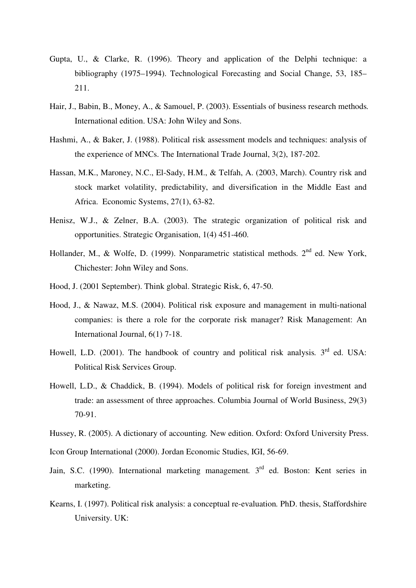- Gupta, U., & Clarke, R. (1996). Theory and application of the Delphi technique: a bibliography (1975–1994). Technological Forecasting and Social Change, 53, 185– 211.
- Hair, J., Babin, B., Money, A., & Samouel, P. (2003). Essentials of business research methods*.*  International edition. USA: John Wiley and Sons.
- Hashmi, A., & Baker, J. (1988). Political risk assessment models and techniques: analysis of the experience of MNCs. The International Trade Journal, 3(2), 187-202.
- Hassan, M.K., Maroney, N.C., El-Sady, H.M., & Telfah, A. (2003, March). Country risk and stock market volatility, predictability, and diversification in the Middle East and Africa. Economic Systems, 27(1), 63-82.
- Henisz, W.J., & Zelner, B.A. (2003). The strategic organization of political risk and opportunities. Strategic Organisation, 1(4) 451-460.
- Hollander, M., & Wolfe, D. (1999). Nonparametric statistical methods. 2<sup>nd</sup> ed. New York, Chichester: John Wiley and Sons.
- Hood, J. (2001 September). Think global. Strategic Risk, 6, 47-50.
- Hood, J., & Nawaz, M.S. (2004). Political risk exposure and management in multi-national companies: is there a role for the corporate risk manager? Risk Management: An International Journal, 6(1) 7-18.
- Howell, L.D. (2001). The handbook of country and political risk analysis. 3<sup>rd</sup> ed. USA: Political Risk Services Group.
- Howell, L.D., & Chaddick, B. (1994). Models of political risk for foreign investment and trade: an assessment of three approaches. Columbia Journal of World Business, 29(3) 70-91.

Hussey, R. (2005). A dictionary of accounting*.* New edition. Oxford: Oxford University Press.

Icon Group International (2000). Jordan Economic Studies, IGI, 56-69.

- Jain, S.C. (1990). International marketing management*.* 3 rd ed. Boston: Kent series in marketing.
- Kearns, I. (1997). Political risk analysis: a conceptual re-evaluation*.* PhD. thesis, Staffordshire University. UK: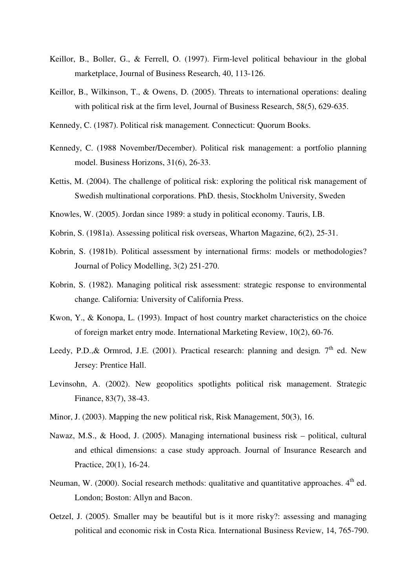- Keillor, B., Boller, G., & Ferrell, O. (1997). Firm-level political behaviour in the global marketplace, Journal of Business Research, 40, 113-126.
- Keillor, B., Wilkinson, T., & Owens, D. (2005). Threats to international operations: dealing with political risk at the firm level, Journal of Business Research, 58(5), 629-635.
- Kennedy, C. (1987). Political risk management*.* Connecticut: Quorum Books.
- Kennedy, C. (1988 November/December). Political risk management: a portfolio planning model. Business Horizons, 31(6), 26-33.
- Kettis, M. (2004). The challenge of political risk: exploring the political risk management of Swedish multinational corporations. PhD. thesis, Stockholm University, Sweden
- Knowles, W. (2005). Jordan since 1989: a study in political economy. Tauris, I.B.
- Kobrin, S. (1981a). Assessing political risk overseas, Wharton Magazine, 6(2), 25-31.
- Kobrin, S. (1981b). Political assessment by international firms: models or methodologies? Journal of Policy Modelling, 3(2) 251-270.
- Kobrin, S. (1982). Managing political risk assessment: strategic response to environmental change*.* California: University of California Press.
- Kwon, Y., & Konopa, L. (1993). Impact of host country market characteristics on the choice of foreign market entry mode. International Marketing Review, 10(2), 60-76.
- Leedy, P.D.,& Ormrod, J.E. (2001). Practical research: planning and design. 7<sup>th</sup> ed. New Jersey: Prentice Hall.
- Levinsohn, A. (2002). New geopolitics spotlights political risk management. Strategic Finance, 83(7), 38-43.
- Minor, J. (2003). Mapping the new political risk, Risk Management, 50(3), 16.
- Nawaz, M.S., & Hood, J. (2005). Managing international business risk political, cultural and ethical dimensions: a case study approach. Journal of Insurance Research and Practice, 20(1), 16-24.
- Neuman, W. (2000). Social research methods: qualitative and quantitative approaches. 4<sup>th</sup> ed. London; Boston: Allyn and Bacon.
- Oetzel, J. (2005). Smaller may be beautiful but is it more risky?: assessing and managing political and economic risk in Costa Rica. International Business Review, 14, 765-790.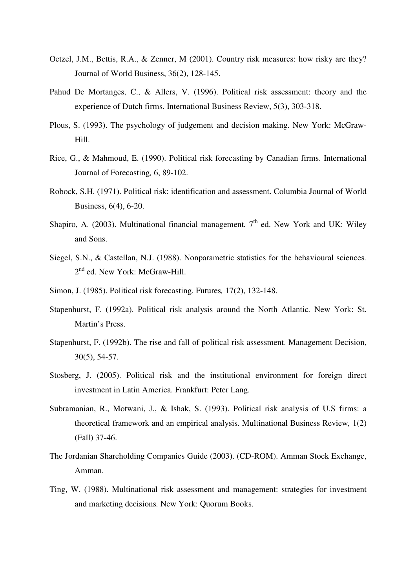- Oetzel, J.M., Bettis, R.A., & Zenner, M (2001). Country risk measures: how risky are they? Journal of World Business, 36(2), 128-145.
- Pahud De Mortanges, C., & Allers, V. (1996). Political risk assessment: theory and the experience of Dutch firms. International Business Review, 5(3), 303-318.
- Plous, S. (1993). The psychology of judgement and decision making. New York: McGraw-Hill.
- Rice, G., & Mahmoud, E. (1990). Political risk forecasting by Canadian firms. International Journal of Forecasting*,* 6, 89-102.
- Robock, S.H. (1971). Political risk: identification and assessment. Columbia Journal of World Business, 6(4), 6-20.
- Shapiro, A. (2003). Multinational financial management. 7<sup>th</sup> ed. New York and UK: Wiley and Sons.
- Siegel, S.N., & Castellan, N.J. (1988). Nonparametric statistics for the behavioural sciences*.*  2<sup>nd</sup> ed. New York: McGraw-Hill.
- Simon, J. (1985). Political risk forecasting. Futures*,* 17(2), 132-148.
- Stapenhurst, F. (1992a). Political risk analysis around the North Atlantic*.* New York: St. Martin's Press.
- Stapenhurst, F. (1992b). The rise and fall of political risk assessment. Management Decision, 30(5), 54-57.
- Stosberg, J. (2005). Political risk and the institutional environment for foreign direct investment in Latin America. Frankfurt: Peter Lang.
- Subramanian, R., Motwani, J., & Ishak, S. (1993). Political risk analysis of U.S firms: a theoretical framework and an empirical analysis. Multinational Business Review*,* 1(2) (Fall) 37-46.
- The Jordanian Shareholding Companies Guide (2003). (CD-ROM). Amman Stock Exchange, Amman.
- Ting, W. (1988). Multinational risk assessment and management: strategies for investment and marketing decisions*.* New York: Quorum Books.